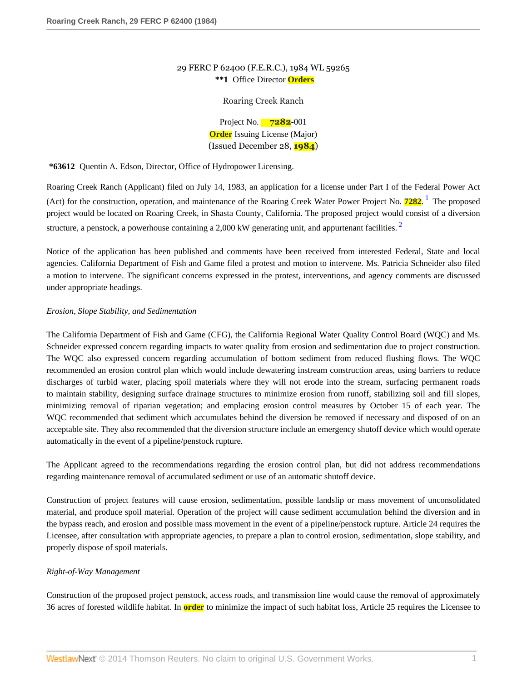# 29 FERC P 62400 (F.E.R.C.), 1984 WL 59265 **\*\*1** Office Director **Orders**

## <span id="page-0-1"></span><span id="page-0-0"></span>Roaring Creek Ranch

Project No. **7282**-001 **Order** Issuing License (Major) (Issued December 28, **1984**)

**\*63612** Quentin A. Edson, Director, Office of Hydropower Licensing.

Roaring Creek Ranch (Applicant) filed on July 14, 1983, an application for a license under Part I of the Federal Power Act (Act) for the construction, operation, and maintenance of the Roaring Creek Water Power Project No. **7282**. [1](#page-7-0) The proposed project would be located on Roaring Creek, in Shasta County, California. The proposed project would consist of a diversion structure, a penstock, a powerhouse containing a [2](#page-7-1),000 kW generating unit, and appurtenant facilities.  $2^2$ 

Notice of the application has been published and comments have been received from interested Federal, State and local agencies. California Department of Fish and Game filed a protest and motion to intervene. Ms. Patricia Schneider also filed a motion to intervene. The significant concerns expressed in the protest, interventions, and agency comments are discussed under appropriate headings.

## *Erosion, Slope Stability, and Sedimentation*

The California Department of Fish and Game (CFG), the California Regional Water Quality Control Board (WQC) and Ms. Schneider expressed concern regarding impacts to water quality from erosion and sedimentation due to project construction. The WQC also expressed concern regarding accumulation of bottom sediment from reduced flushing flows. The WQC recommended an erosion control plan which would include dewatering instream construction areas, using barriers to reduce discharges of turbid water, placing spoil materials where they will not erode into the stream, surfacing permanent roads to maintain stability, designing surface drainage structures to minimize erosion from runoff, stabilizing soil and fill slopes, minimizing removal of riparian vegetation; and emplacing erosion control measures by October 15 of each year. The WQC recommended that sediment which accumulates behind the diversion be removed if necessary and disposed of on an acceptable site. They also recommended that the diversion structure include an emergency shutoff device which would operate automatically in the event of a pipeline/penstock rupture.

The Applicant agreed to the recommendations regarding the erosion control plan, but did not address recommendations regarding maintenance removal of accumulated sediment or use of an automatic shutoff device.

Construction of project features will cause erosion, sedimentation, possible landslip or mass movement of unconsolidated material, and produce spoil material. Operation of the project will cause sediment accumulation behind the diversion and in the bypass reach, and erosion and possible mass movement in the event of a pipeline/penstock rupture. Article 24 requires the Licensee, after consultation with appropriate agencies, to prepare a plan to control erosion, sedimentation, slope stability, and properly dispose of spoil materials.

## *Right-of-Way Management*

Construction of the proposed project penstock, access roads, and transmission line would cause the removal of approximately 36 acres of forested wildlife habitat. In **order** to minimize the impact of such habitat loss, Article 25 requires the Licensee to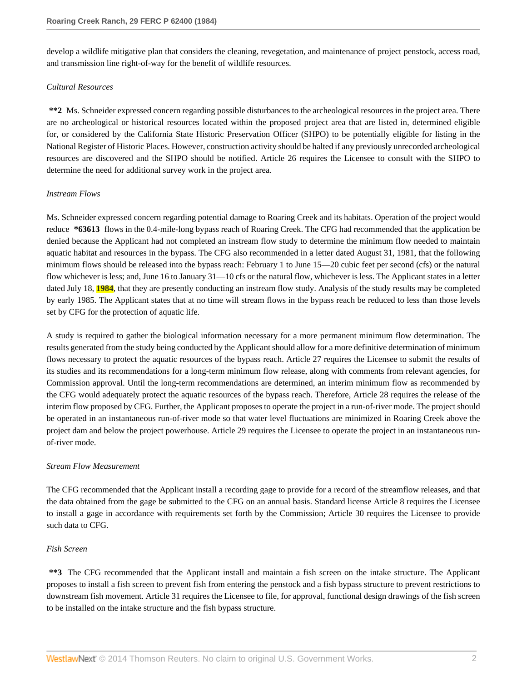develop a wildlife mitigative plan that considers the cleaning, revegetation, and maintenance of project penstock, access road, and transmission line right-of-way for the benefit of wildlife resources.

#### *Cultural Resources*

**\*\*2** Ms. Schneider expressed concern regarding possible disturbances to the archeological resources in the project area. There are no archeological or historical resources located within the proposed project area that are listed in, determined eligible for, or considered by the California State Historic Preservation Officer (SHPO) to be potentially eligible for listing in the National Register of Historic Places. However, construction activity should be halted if any previously unrecorded archeological resources are discovered and the SHPO should be notified. Article 26 requires the Licensee to consult with the SHPO to determine the need for additional survey work in the project area.

## *Instream Flows*

Ms. Schneider expressed concern regarding potential damage to Roaring Creek and its habitats. Operation of the project would reduce **\*63613** flows in the 0.4-mile-long bypass reach of Roaring Creek. The CFG had recommended that the application be denied because the Applicant had not completed an instream flow study to determine the minimum flow needed to maintain aquatic habitat and resources in the bypass. The CFG also recommended in a letter dated August 31, 1981, that the following minimum flows should be released into the bypass reach: February 1 to June 15—20 cubic feet per second (cfs) or the natural flow whichever is less; and, June 16 to January 31—10 cfs or the natural flow, whichever is less. The Applicant states in a letter dated July 18, **1984**, that they are presently conducting an instream flow study. Analysis of the study results may be completed by early 1985. The Applicant states that at no time will stream flows in the bypass reach be reduced to less than those levels set by CFG for the protection of aquatic life.

A study is required to gather the biological information necessary for a more permanent minimum flow determination. The results generated from the study being conducted by the Applicant should allow for a more definitive determination of minimum flows necessary to protect the aquatic resources of the bypass reach. Article 27 requires the Licensee to submit the results of its studies and its recommendations for a long-term minimum flow release, along with comments from relevant agencies, for Commission approval. Until the long-term recommendations are determined, an interim minimum flow as recommended by the CFG would adequately protect the aquatic resources of the bypass reach. Therefore, Article 28 requires the release of the interim flow proposed by CFG. Further, the Applicant proposes to operate the project in a run-of-river mode. The project should be operated in an instantaneous run-of-river mode so that water level fluctuations are minimized in Roaring Creek above the project dam and below the project powerhouse. Article 29 requires the Licensee to operate the project in an instantaneous runof-river mode.

#### *Stream Flow Measurement*

The CFG recommended that the Applicant install a recording gage to provide for a record of the streamflow releases, and that the data obtained from the gage be submitted to the CFG on an annual basis. Standard license Article 8 requires the Licensee to install a gage in accordance with requirements set forth by the Commission; Article 30 requires the Licensee to provide such data to CFG.

## *Fish Screen*

**\*\*3** The CFG recommended that the Applicant install and maintain a fish screen on the intake structure. The Applicant proposes to install a fish screen to prevent fish from entering the penstock and a fish bypass structure to prevent restrictions to downstream fish movement. Article 31 requires the Licensee to file, for approval, functional design drawings of the fish screen to be installed on the intake structure and the fish bypass structure.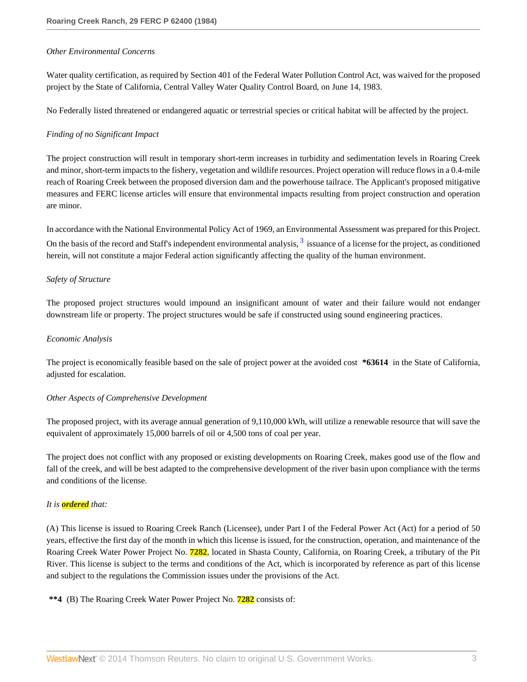#### *Other Environmental Concerns*

Water quality certification, as required by Section 401 of the Federal Water Pollution Control Act, was waived for the proposed project by the State of California, Central Valley Water Quality Control Board, on June 14, 1983.

No Federally listed threatened or endangered aquatic or terrestrial species or critical habitat will be affected by the project.

## *Finding of no Significant Impact*

The project construction will result in temporary short-term increases in turbidity and sedimentation levels in Roaring Creek and minor, short-term impacts to the fishery, vegetation and wildlife resources. Project operation will reduce flows in a 0.4-mile reach of Roaring Creek between the proposed diversion dam and the powerhouse tailrace. The Applicant's proposed mitigative measures and FERC license articles will ensure that environmental impacts resulting from project construction and operation are minor.

<span id="page-2-0"></span>In accordance with the National Environmental Policy Act of 1969, an Environmental Assessment was prepared for this Project. On the basis of the record and Staff's independent environmental analysis,  $3$  issuance of a license for the project, as conditioned herein, will not constitute a major Federal action significantly affecting the quality of the human environment.

## *Safety of Structure*

The proposed project structures would impound an insignificant amount of water and their failure would not endanger downstream life or property. The project structures would be safe if constructed using sound engineering practices.

#### *Economic Analysis*

The project is economically feasible based on the sale of project power at the avoided cost **\*63614** in the State of California, adjusted for escalation.

#### *Other Aspects of Comprehensive Development*

The proposed project, with its average annual generation of 9,110,000 kWh, will utilize a renewable resource that will save the equivalent of approximately 15,000 barrels of oil or 4,500 tons of coal per year.

The project does not conflict with any proposed or existing developments on Roaring Creek, makes good use of the flow and fall of the creek, and will be best adapted to the comprehensive development of the river basin upon compliance with the terms and conditions of the license.

## *It is ordered that:*

(A) This license is issued to Roaring Creek Ranch (Licensee), under Part I of the Federal Power Act (Act) for a period of 50 years, effective the first day of the month in which this license is issued, for the construction, operation, and maintenance of the Roaring Creek Water Power Project No. **7282**, located in Shasta County, California, on Roaring Creek, a tributary of the Pit River. This license is subject to the terms and conditions of the Act, which is incorporated by reference as part of this license and subject to the regulations the Commission issues under the provisions of the Act.

**\*\*4** (B) The Roaring Creek Water Power Project No. **7282** consists of: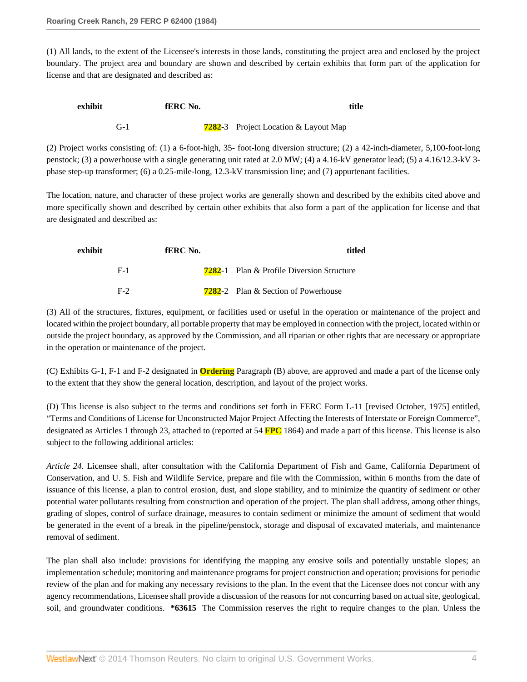(1) All lands, to the extent of the Licensee's interests in those lands, constituting the project area and enclosed by the project boundary. The project area and boundary are shown and described by certain exhibits that form part of the application for license and that are designated and described as:

| exhibit |       | <b>fERC</b> No. | title                                        |
|---------|-------|-----------------|----------------------------------------------|
|         | $G-1$ |                 | <b>7282</b> -3 Project Location & Layout Map |

(2) Project works consisting of: (1) a 6-foot-high, 35- foot-long diversion structure; (2) a 42-inch-diameter, 5,100-foot-long penstock; (3) a powerhouse with a single generating unit rated at 2.0 MW; (4) a 4.16-kV generator lead; (5) a 4.16/12.3-kV 3 phase step-up transformer; (6) a 0.25-mile-long, 12.3-kV transmission line; and (7) appurtenant facilities.

The location, nature, and character of these project works are generally shown and described by the exhibits cited above and more specifically shown and described by certain other exhibits that also form a part of the application for license and that are designated and described as:

| titled                                           | <b>fERC</b> No. | exhibit |
|--------------------------------------------------|-----------------|---------|
| <b>7282-1</b> Plan & Profile Diversion Structure |                 | $F-1$   |
| <b>7282</b> -2 Plan & Section of Powerhouse      |                 | $F-2$   |

(3) All of the structures, fixtures, equipment, or facilities used or useful in the operation or maintenance of the project and located within the project boundary, all portable property that may be employed in connection with the project, located within or outside the project boundary, as approved by the Commission, and all riparian or other rights that are necessary or appropriate in the operation or maintenance of the project.

(C) Exhibits G-1, F-1 and F-2 designated in **Ordering** Paragraph (B) above, are approved and made a part of the license only to the extent that they show the general location, description, and layout of the project works.

(D) This license is also subject to the terms and conditions set forth in FERC Form L-11 [revised October, 1975] entitled, "Terms and Conditions of License for Unconstructed Major Project Affecting the Interests of Interstate or Foreign Commerce", designated as Articles 1 through 23, attached to (reported at 54 **FPC** 1864) and made a part of this license. This license is also subject to the following additional articles:

*Article 24.* Licensee shall, after consultation with the California Department of Fish and Game, California Department of Conservation, and U. S. Fish and Wildlife Service, prepare and file with the Commission, within 6 months from the date of issuance of this license, a plan to control erosion, dust, and slope stability, and to minimize the quantity of sediment or other potential water pollutants resulting from construction and operation of the project. The plan shall address, among other things, grading of slopes, control of surface drainage, measures to contain sediment or minimize the amount of sediment that would be generated in the event of a break in the pipeline/penstock, storage and disposal of excavated materials, and maintenance removal of sediment.

The plan shall also include: provisions for identifying the mapping any erosive soils and potentially unstable slopes; an implementation schedule; monitoring and maintenance programs for project construction and operation; provisions for periodic review of the plan and for making any necessary revisions to the plan. In the event that the Licensee does not concur with any agency recommendations, Licensee shall provide a discussion of the reasons for not concurring based on actual site, geological, soil, and groundwater conditions. **\*63615** The Commission reserves the right to require changes to the plan. Unless the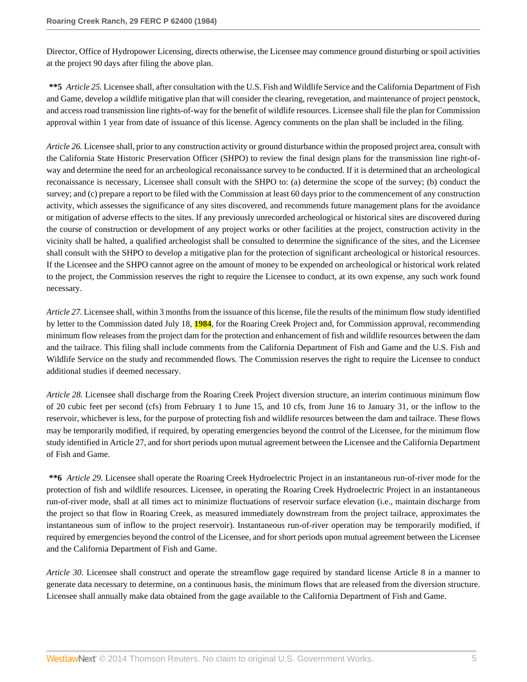Director, Office of Hydropower Licensing, directs otherwise, the Licensee may commence ground disturbing or spoil activities at the project 90 days after filing the above plan.

**\*\*5** *Article 25.* Licensee shall, after consultation with the U.S. Fish and Wildlife Service and the California Department of Fish and Game, develop a wildlife mitigative plan that will consider the clearing, revegetation, and maintenance of project penstock, and access road transmission line rights-of-way for the benefit of wildlife resources. Licensee shall file the plan for Commission approval within 1 year from date of issuance of this license. Agency comments on the plan shall be included in the filing.

*Article 26.* Licensee shall, prior to any construction activity or ground disturbance within the proposed project area, consult with the California State Historic Preservation Officer (SHPO) to review the final design plans for the transmission line right-ofway and determine the need for an archeological reconaissance survey to be conducted. If it is determined that an archeological reconaissance is necessary, Licensee shall consult with the SHPO to: (a) determine the scope of the survey; (b) conduct the survey; and (c) prepare a report to be filed with the Commission at least 60 days prior to the commencement of any construction activity, which assesses the significance of any sites discovered, and recommends future management plans for the avoidance or mitigation of adverse effects to the sites. If any previously unrecorded archeological or historical sites are discovered during the course of construction or development of any project works or other facilities at the project, construction activity in the vicinity shall be halted, a qualified archeologist shall be consulted to determine the significance of the sites, and the Licensee shall consult with the SHPO to develop a mitigative plan for the protection of significant archeological or historical resources. If the Licensee and the SHPO cannot agree on the amount of money to be expended on archeological or historical work related to the project, the Commission reserves the right to require the Licensee to conduct, at its own expense, any such work found necessary.

*Article 27.* Licensee shall, within 3 months from the issuance of this license, file the results of the minimum flow study identified by letter to the Commission dated July 18, **1984**, for the Roaring Creek Project and, for Commission approval, recommending minimum flow releases from the project dam for the protection and enhancement of fish and wildlife resources between the dam and the tailrace. This filing shall include comments from the California Department of Fish and Game and the U.S. Fish and Wildlife Service on the study and recommended flows. The Commission reserves the right to require the Licensee to conduct additional studies if deemed necessary.

*Article 28.* Licensee shall discharge from the Roaring Creek Project diversion structure, an interim continuous minimum flow of 20 cubic feet per second (cfs) from February 1 to June 15, and 10 cfs, from June 16 to January 31, or the inflow to the reservoir, whichever is less, for the purpose of protecting fish and wildlife resources between the dam and tailrace. These flows may be temporarily modified, if required, by operating emergencies beyond the control of the Licensee, for the minimum flow study identified in Article 27, and for short periods upon mutual agreement between the Licensee and the California Department of Fish and Game.

**\*\*6** *Article 29.* Licensee shall operate the Roaring Creek Hydroelectric Project in an instantaneous run-of-river mode for the protection of fish and wildlife resources. Licensee, in operating the Roaring Creek Hydroelectric Project in an instantaneous run-of-river mode, shall at all times act to minimize fluctuations of reservoir surface elevation (i.e., maintain discharge from the project so that flow in Roaring Creek, as measured immediately downstream from the project tailrace, approximates the instantaneous sum of inflow to the project reservoir). Instantaneous run-of-river operation may be temporarily modified, if required by emergencies beyond the control of the Licensee, and for short periods upon mutual agreement between the Licensee and the California Department of Fish and Game.

*Article 30.* Licensee shall construct and operate the streamflow gage required by standard license Article 8 in a manner to generate data necessary to determine, on a continuous basis, the minimum flows that are released from the diversion structure. Licensee shall annually make data obtained from the gage available to the California Department of Fish and Game.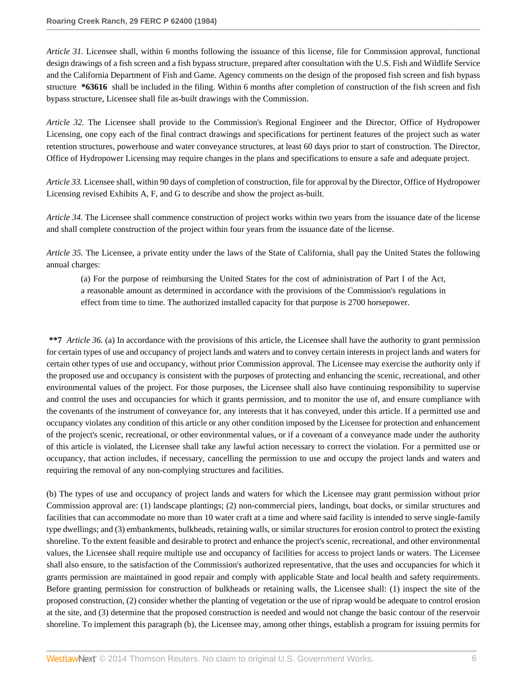*Article 31.* Licensee shall, within 6 months following the issuance of this license, file for Commission approval, functional design drawings of a fish screen and a fish bypass structure, prepared after consultation with the U.S. Fish and Wildlife Service and the California Department of Fish and Game. Agency comments on the design of the proposed fish screen and fish bypass structure **\*63616** shall be included in the filing. Within 6 months after completion of construction of the fish screen and fish bypass structure, Licensee shall file as-built drawings with the Commission.

*Article 32.* The Licensee shall provide to the Commission's Regional Engineer and the Director, Office of Hydropower Licensing, one copy each of the final contract drawings and specifications for pertinent features of the project such as water retention structures, powerhouse and water conveyance structures, at least 60 days prior to start of construction. The Director, Office of Hydropower Licensing may require changes in the plans and specifications to ensure a safe and adequate project.

*Article 33.* Licensee shall, within 90 days of completion of construction, file for approval by the Director, Office of Hydropower Licensing revised Exhibits A, F, and G to describe and show the project as-built.

*Article 34.* The Licensee shall commence construction of project works within two years from the issuance date of the license and shall complete construction of the project within four years from the issuance date of the license.

*Article 35.* The Licensee, a private entity under the laws of the State of California, shall pay the United States the following annual charges:

(a) For the purpose of reimbursing the United States for the cost of administration of Part I of the Act, a reasonable amount as determined in accordance with the provisions of the Commission's regulations in effect from time to time. The authorized installed capacity for that purpose is 2700 horsepower.

**\*\*7** *Article 36.* (a) In accordance with the provisions of this article, the Licensee shall have the authority to grant permission for certain types of use and occupancy of project lands and waters and to convey certain interests in project lands and waters for certain other types of use and occupancy, without prior Commission approval. The Licensee may exercise the authority only if the proposed use and occupancy is consistent with the purposes of protecting and enhancing the scenic, recreational, and other environmental values of the project. For those purposes, the Licensee shall also have continuing responsibility to supervise and control the uses and occupancies for which it grants permission, and to monitor the use of, and ensure compliance with the covenants of the instrument of conveyance for, any interests that it has conveyed, under this article. If a permitted use and occupancy violates any condition of this article or any other condition imposed by the Licensee for protection and enhancement of the project's scenic, recreational, or other environmental values, or if a covenant of a conveyance made under the authority of this article is violated, the Licensee shall take any lawful action necessary to correct the violation. For a permitted use or occupancy, that action includes, if necessary, cancelling the permission to use and occupy the project lands and waters and requiring the removal of any non-complying structures and facilities.

(b) The types of use and occupancy of project lands and waters for which the Licensee may grant permission without prior Commission approval are: (1) landscape plantings; (2) non-commercial piers, landings, boat docks, or similar structures and facilities that can accommodate no more than 10 water craft at a time and where said facility is intended to serve single-family type dwellings; and (3) embankments, bulkheads, retaining walls, or similar structures for erosion control to protect the existing shoreline. To the extent feasible and desirable to protect and enhance the project's scenic, recreational, and other environmental values, the Licensee shall require multiple use and occupancy of facilities for access to project lands or waters. The Licensee shall also ensure, to the satisfaction of the Commission's authorized representative, that the uses and occupancies for which it grants permission are maintained in good repair and comply with applicable State and local health and safety requirements. Before granting permission for construction of bulkheads or retaining walls, the Licensee shall: (1) inspect the site of the proposed construction, (2) consider whether the planting of vegetation or the use of riprap would be adequate to control erosion at the site, and (3) determine that the proposed construction is needed and would not change the basic contour of the reservoir shoreline. To implement this paragraph (b), the Licensee may, among other things, establish a program for issuing permits for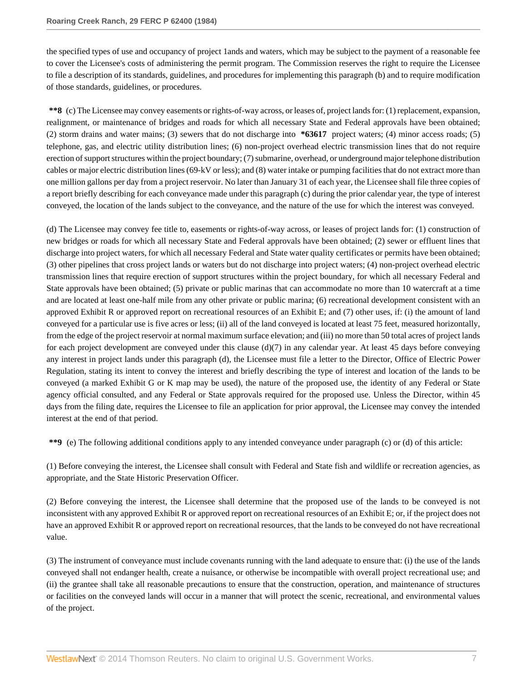the specified types of use and occupancy of project 1ands and waters, which may be subject to the payment of a reasonable fee to cover the Licensee's costs of administering the permit program. The Commission reserves the right to require the Licensee to file a description of its standards, guidelines, and procedures for implementing this paragraph (b) and to require modification of those standards, guidelines, or procedures.

**\*\*8** (c) The Licensee may convey easements or rights-of-way across, or leases of, project lands for: (1) replacement, expansion, realignment, or maintenance of bridges and roads for which all necessary State and Federal approvals have been obtained; (2) storm drains and water mains; (3) sewers that do not discharge into **\*63617** project waters; (4) minor access roads; (5) telephone, gas, and electric utility distribution lines; (6) non-project overhead electric transmission lines that do not require erection of support structures within the project boundary; (7) submarine, overhead, or underground major telephone distribution cables or major electric distribution lines (69-kV or less); and (8) water intake or pumping facilities that do not extract more than one million gallons per day from a project reservoir. No later than January 31 of each year, the Licensee shall file three copies of a report briefly describing for each conveyance made under this paragraph (c) during the prior calendar year, the type of interest conveyed, the location of the lands subject to the conveyance, and the nature of the use for which the interest was conveyed.

(d) The Licensee may convey fee title to, easements or rights-of-way across, or leases of project lands for: (1) construction of new bridges or roads for which all necessary State and Federal approvals have been obtained; (2) sewer or effluent lines that discharge into project waters, for which all necessary Federal and State water quality certificates or permits have been obtained; (3) other pipelines that cross project lands or waters but do not discharge into project waters; (4) non-project overhead electric transmission lines that require erection of support structures within the project boundary, for which all necessary Federal and State approvals have been obtained; (5) private or public marinas that can accommodate no more than 10 watercraft at a time and are located at least one-half mile from any other private or public marina; (6) recreational development consistent with an approved Exhibit R or approved report on recreational resources of an Exhibit E; and (7) other uses, if: (i) the amount of land conveyed for a particular use is five acres or less; (ii) all of the land conveyed is located at least 75 feet, measured horizontally, from the edge of the project reservoir at normal maximum surface elevation; and (iii) no more than 50 total acres of project lands for each project development are conveyed under this clause  $(d)(7)$  in any calendar year. At least 45 days before conveying any interest in project lands under this paragraph (d), the Licensee must file a letter to the Director, Office of Electric Power Regulation, stating its intent to convey the interest and briefly describing the type of interest and location of the lands to be conveyed (a marked Exhibit G or K map may be used), the nature of the proposed use, the identity of any Federal or State agency official consulted, and any Federal or State approvals required for the proposed use. Unless the Director, within 45 days from the filing date, requires the Licensee to file an application for prior approval, the Licensee may convey the intended interest at the end of that period.

**\*\*9** (e) The following additional conditions apply to any intended conveyance under paragraph (c) or (d) of this article:

(1) Before conveying the interest, the Licensee shall consult with Federal and State fish and wildlife or recreation agencies, as appropriate, and the State Historic Preservation Officer.

(2) Before conveying the interest, the Licensee shall determine that the proposed use of the lands to be conveyed is not inconsistent with any approved Exhibit R or approved report on recreational resources of an Exhibit E; or, if the project does not have an approved Exhibit R or approved report on recreational resources, that the lands to be conveyed do not have recreational value.

(3) The instrument of conveyance must include covenants running with the land adequate to ensure that: (i) the use of the lands conveyed shall not endanger health, create a nuisance, or otherwise be incompatible with overall project recreational use; and (ii) the grantee shall take all reasonable precautions to ensure that the construction, operation, and maintenance of structures or facilities on the conveyed lands will occur in a manner that will protect the scenic, recreational, and environmental values of the project.